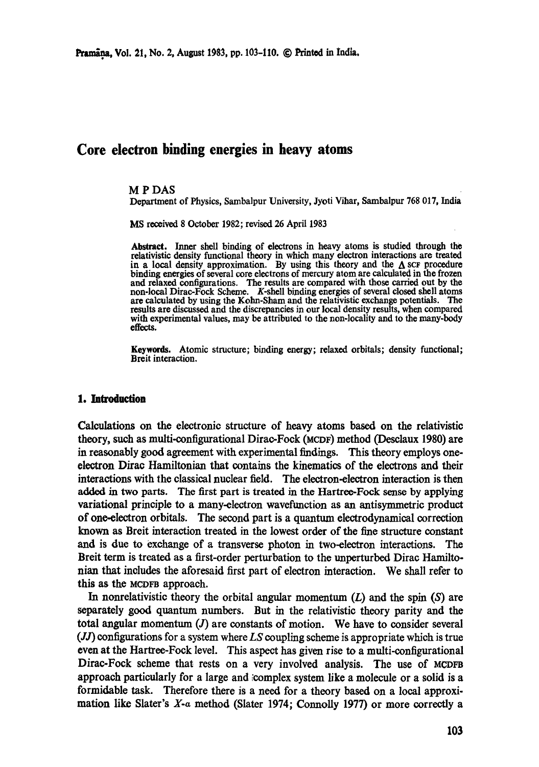# **Core electron binding energies in heavy atoms**

#### M P DAS

Department of Physics, Sambalpur University, Jyoti Vihar, Sambalpur 768 017, India

MS received 8 October 1982; revised 26 April 1983

**Abstract.** Inner shell binding of electrons in heavy atoms is studied through **the**  relativistic density functional theory in which many electron interactions are treated in a local density approximation. By using this theory and the  $\Delta$  scF procedure binding energies of several core electrons of mercury atom are calculated in the frozen and relaxed configurations. The results are compared with those carried out by the non-local Dirac-Fock Scheme. K-shell binding energies of several closed shell atoms are calculated by using the Kolm-Sham and the relativistic exchange potentials. The results are discussed and the discrepancies in our local density results, when compared with experimental values, may be attributed to the non-locality and to the many-body effects.

Keywords. Atomic structure; binding energy; relaxed orbitals; density functional; Breit interaction.

## **1. Introduction**

Calculations on the electronic structure of heavy atoms based on the relativistic theory, such as multi-oonfigurational Dirac-Fock (MeDF) method (Desolaux 1980) are in reasonably good agreement with experimental findings. This theory employs oneelectron Dirao Hamiltonian that contains the kinematics of the electrons and their interactions with the classical nuclear field. The electron-electron interaction is then added in two parts. The first part is treated in the Hartree-Fock sense by applying variational principle to a many-electron wavefunction as an antisymmctric product of one-electron orbitals. The second part is a quantum electrodynamical correction known as Breit interaction treated in the lowest order of the fine structure constant and is due to exchange of a transverse photon in two-electron interactions. The Breit term is treated as a first-order perturbation to the unperturbed Dirac Hamiltonian that includes the aforesaid first part of electron interaction. We shall refer to **this** as the MCDFB approach.

In nonrelativistic theory the orbital angular momentum  $(L)$  and the spin  $(S)$  are separately good quantum numbers. But in the relativistic theory parity and the total angular momentum  $(J)$  are constants of motion. We have to consider several (J0 configurations for a system where *LS* coupling scheme is appropriate which is true even at the Hartree-Fock level. This aspect has given rise to a multi-eonfigurational Dirac-Fock scheme that rests on a very involved analysis. The use of MCDFB approach particularly for a large and ;complex system like a molecule or a solid is a formidable task. Therefore there is a need for a theory based on a local approximation like Slater's X-a method (Slater 1974; Connolly 1977) or more correctly a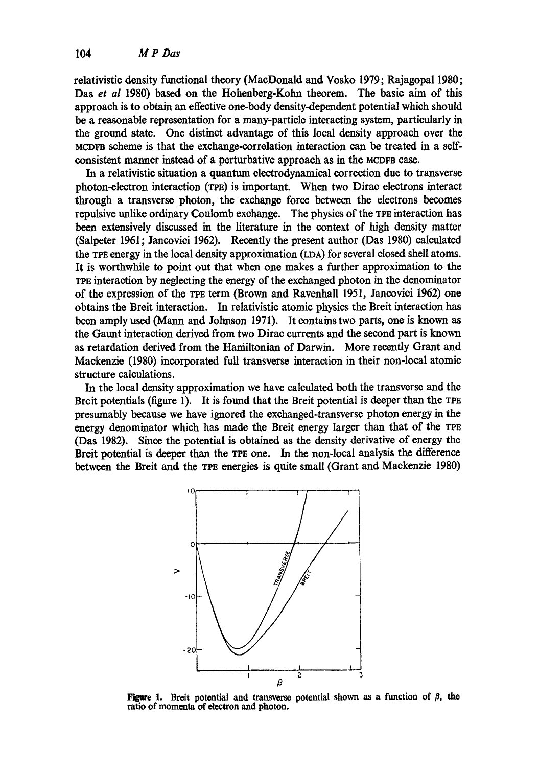relativistic density functional theory (MacDonald and Vosko 1979; Rajagopal 1980; Das *et al* 1980) based on the Hohenberg-Kohn theorem. The basic aim of this approach is to obtain an effective one-body density-dependent potential which should bca reasonable representation for a many-particle interacting system, particularly in the ground state. One distinct advantage of this local density approach over the MCDFS scheme is that the exchange-correlation interaction can be treated in a selfconsistent manner instead of a perturbative approach as in the MCDFa case.

In a relativistic situation a quantum electrodynamical correction due to transverse photon-electron interaction (TEE) is important. When two Dirac electrons interact through a transverse photon, the exchange force between the electrons becomes repulsive unlike ordinary Coulomb exchange. The physics of the TPE interaction has been extensively discussed in the literature in the context of high density matter (Salpcter 1961; Jancovici 1962). Recently the present author (Das 1980) calculated the TeE energy in the local density approximation (LDA) for several closed shell atoms. It is worthwhile to point out that when one makes a further approximation to the TPE interaction by neglecting the energy of the exchanged photon in the denominator of the expression of the TPE term (Brown and Ravenhall 1951, Jancovici 1962) one obtains the Breit interaction. In relativistic atomic physics the Breit interaction has been amply used (Mann and Johnson 1971). It contains two parts, one is known as the Gaunt interaction derived from two Dirac currents and the second part is known as retardation derived from the Hamiltonian of Darwin. More recently Grant and Mackenzie (1980) incorporated full transverse interaction in their non-local atomic structure calculations.

In the local density approximation we have calculated both the transverse and the Breit potentials (figure 1). It is found that the Breit potential is deeper than the TeE presumably because we have ignored the exchanged-transverse photon energy in the energy denominator which has made the Breit energy larger than that of the TPE (Das 1982). Since the potential is obtained as the density derivative of energy the Breit potential is deeper than the TPE one. In the non-local analysis the difference between the Breit and the TPE energies is quite small (Grant and Mackenzie 1980)



Figure 1. Breit potential and transverse potential shown as a function of  $\beta$ , the ratio of momenta of electron and photon.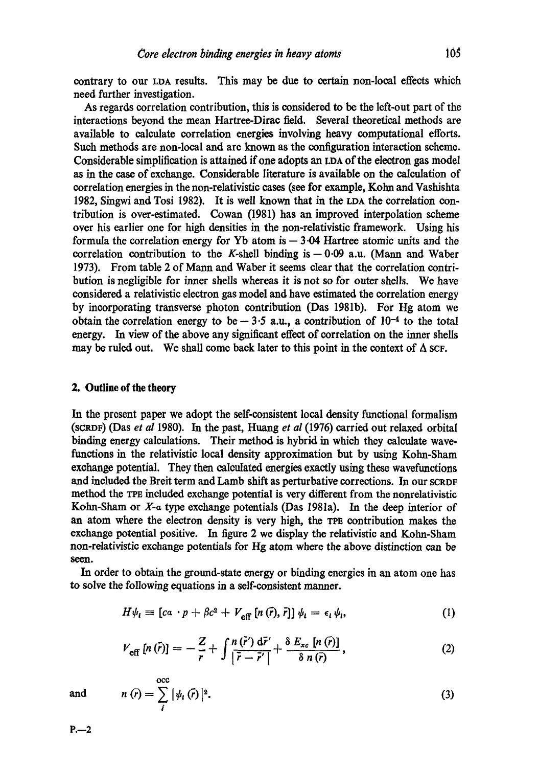contrary to our LDA results. This may be due to certain non-local effects which need further investigation.

As regards correlation contribution, this is considered to be the left-out part of the interactions beyond the mean Hartree-Dirac field. Several theoretical methods are available to calculate correlation energies involving heavy computational efforts. Such methods are non-local and are known as the configuration interaction scheme. Considerable simplification is attained if one adopts an LDA of the electron gas model as in the case of exchange. Considerable literature is available on the calculation of correlation energies in the non-relativistic eases (see for example, Kohn and Vashishta 1982, Singwi and Tosi 1982). It is well known that in the LDA the correlation contribution is over-estimated. Cowan (1981) has an improved interpolation scheme over his earlier one for high densities in the non-relativistic framework. Using his formula the correlation energy for Yb atom is  $-3.04$  Hartree atomic units and the correlation contribution to the K-shell binding is  $- 0.09$  a.u. (Mann and Waber 1973). From table 2 of Mann and Waber it seems clear that the correlation contribution is negligible for inner shells whereas it is not so for outer shells. We have considered a relativistic electron gas model and have estimated the correlation energy by incorporating transverse photon contribution (Das 1981b). For Hg atom we obtain the correlation energy to be  $-3.5$  a.u., a contribution of  $10^{-4}$  to the total energy. In view of the above any significant effect of correlation on the inner shells may be ruled out. We shall come back later to this point in the context of  $\Delta$  scf.

## 2. Outline **of the** theory

In the present paper we adopt the self-consistent local density functional formalism (SCRDF) (Das *et al* 1980). In the past, Huang *et al* (1976) carried out relaxed orbital binding energy calculations. Their method is hybrid in which they calculate wavefunctions in the relativistic local density approximation but by using Kohn-Sham exchange potential. They then calculated energies exactly using these wavefunctions and included the Breit term and Lamb shift as perturbative corrections. In our SCRDF method the TPE included exchange potential is very different from the nonrelativistic Kolm-Sham or X-a type exchange potentials (Das 1981a). In the deep interior of an atom where the electron density is very high, the TPE contribution makes the exchange potential positive. In figure 2 we display the relativistic and Kolm-Sham non-relativistic exchange potentials for Fig atom where the above distinction can be seen.

In order to obtain the ground-state energy or binding energies in an atom one has to solve the following equations in a self-consistent manner.

$$
H\psi_i = [c\alpha \cdot p + \beta c^2 + V_{\text{eff}} [n(\vec{r}), \vec{r}]] \psi_i = \epsilon_i \psi_i, \qquad (1)
$$

$$
V_{\text{eff}}\left[n\left(\bar{r}\right)\right] = -\frac{Z}{r} + \int \frac{n\left(\bar{r}'\right) d\bar{r}'}{\left|\bar{r} - \bar{r}'\right|} + \frac{\delta \ E_{xc}\left[n\left(\bar{r}\right)\right]}{\delta \ n\left(\bar{r}\right)},\tag{2}
$$

and 
$$
n(\bar{r}) = \sum_{i}^{\text{occ}} |\psi_i(\bar{r})|^2.
$$
 (3)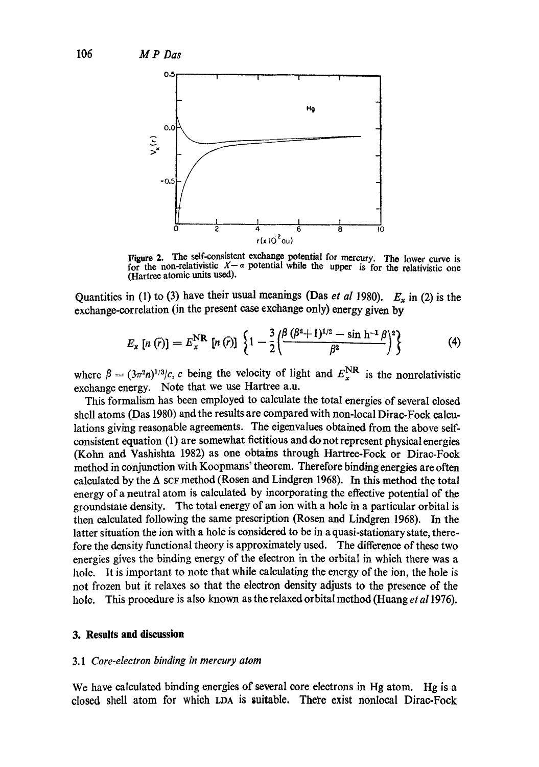

Figure 2. The self-consistent exchange potential for mercury. The lower curve is Figure 2. This soft concentration is for the non-relativistic  $X - a$  potential while the upper is for the relativistic one (Hartree atomic units used).

Quantities in (1) to (3) have their usual meanings (Das *et al* 1980).  $E_x$  in (2) is the exchange-correlation (in the present case exchange only) energy given by

$$
E_x[n(\bar{r})] = E_x^{\rm NR}[n(\bar{r})] \left\{ 1 - \frac{3}{2} \Big( \frac{\beta (\beta^2 + 1)^{1/2} - \sin h^{-1} \beta}{\beta^2} \Big)^2 \right\} \tag{4}
$$

where  $\beta = (3\pi^2 n)^{1/3}$ *c, c* being the velocity of light and  $E_x^{\text{NR}}$  is the nonrelativistic exchange energy. Note that we use Hartree a.u.

This formalism has been employed to calculate the total energies of several closed shell atoms (Das 1980) and the results are compared with non-local Dirac-Fock calculations giving reasonable agreements. The eigenvalues obtained from the above selfconsistent equation (1) are somewhat fictitious and do not represent physical energies (Kohn and Vashishta I982) as one obtains through Hartree-Fock or Dirac-Foek method in conjunction with Koopmans' theorem. Therefore binding energies are often calculated by the  $\Delta$  scF method (Rosen and Lindgren 1968). In this method the total energy of a neutral atom is calculated by incorporating the effective potential of the groundstate density. The total energy of an ion with a hole in a particular orbital is then calculated following the same prescription (Rosen and Lindgren 1968). In the latter situation the ion with a hole is considered to be in a quasi-stationary state, therefore the density functional theory is approximately used. The difference of these two energies gives the binding energy of the electron in the orbital in which there was a hole. It is important to note that while calculating the energy of the ion, the hole is not frozen but it relaxes so that the electron density adjusts to the presence of the hole. This procedure is also known as the relaxed orbital method (Huang *et a11976).* 

## **3. Results and discussion**

#### *3.1 Core-electron binding in mercury atom*

We have calculated binding energies of several core electrons in Hg atom. Hg is a closed shell atom for which LDA is suitable. There exist nonloeal Dirae-Fock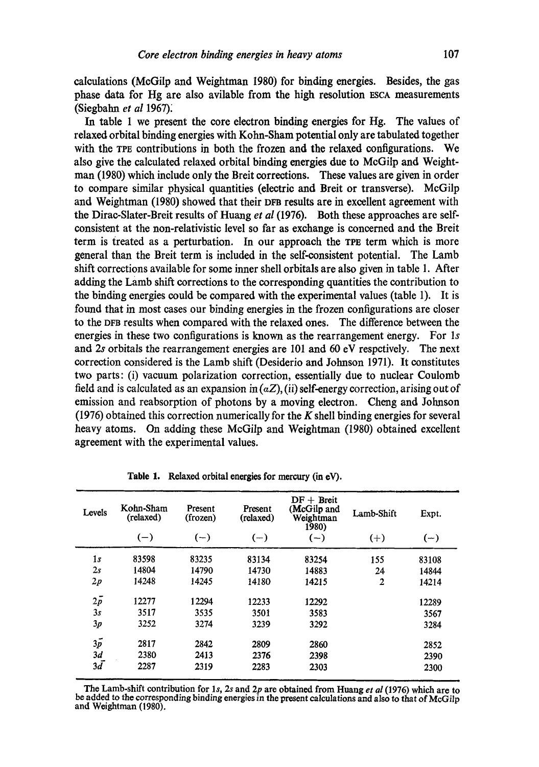calculations (McGilp and Weightman 1980) for binding energies. Besides, the gas phase data for Hg are also avilable from the high resolution ESCA measurements (Siegbahn *et al* 1967):

In table 1 we present the core electron binding energies for Hg. The values of relaxed orbital binding energies with Kohn-Sham potential only are tabulated together with the TPE contributions in both the frozen and the relaxed configurations. We also give the calculated relaxed orbital binding energies due to McGilp and Weightman (1980) which include only the Breit corrections. These values are given in order to compare similar physical quantities (electric and Breit or transverse). McGilp and Weightman (1980) showed that their DFa results are in excellent agreement with the Dirac-Slater-Breit results of Huang *et al* (1976). Both these approaches are selfconsistent at the non-relativistic level so far as exchange is concerned and the Breit term is treated as a perturbation. In our approach the TPE term which is more general than the Breit term is included in the self-consistent potential. The Lamb shift corrections available for some inner shell orbitals are also given in table 1. After adding the Lamb shift corrections to the corresponding quantities the contribution to the binding energies could be compared with the experimental values (table 1). It is found that in most cases our binding energies in the frozen configurations are closer to the DFB results when compared with the relaxed ones. The difference between the energies in these two configurations is known as the rearrangement energy. For ls and 2s orbitals the rearrangement energies are 101 and 60 eV respctively. The next correction considered is the Lamb shift (Desiderio and Johnson 1971). It constitutes two parts: (i) vacuum polarization correction, essentially due to nuclear Coulomb field and is calculated as an expansion in  $(aZ)$ , (ii) self-energy correction, arising out of emission and reabsorption of photons by a moving electron. Cheng and Johnson (1976) obtained this correction numerically for the  $K$  shell binding energies for several heavy atoms. On adding these McGilp and Weightman (1980) obtained excellent agreement with the experimental values.

| Levels     | Kohn-Sham<br>(relaxed) | Present<br>(frozen) | Present<br>(relaxed) | $DF + Breit$<br>(McGilp and<br>Weightman<br>1980) | Lamb-Shift     | Expt. |
|------------|------------------------|---------------------|----------------------|---------------------------------------------------|----------------|-------|
|            | $(-)$                  | $(-)$               | $(-)$                | $(-)$                                             | $(+)$          | $(-)$ |
| 1s         | 83598                  | 83235               | 83134                | 83254                                             | 155            | 83108 |
| 2s         | 14804                  | 14790               | 14730                | 14883                                             | 24             | 14844 |
| 2p         | 14248                  | 14245               | 14180                | 14215                                             | $\overline{2}$ | 14214 |
| $2\bar{p}$ | 12277                  | 12294               | 12233                | 12292                                             |                | 12289 |
| 3s         | 3517                   | 3535                | 3501                 | 3583                                              |                | 3567  |
| 3p         | 3252                   | 3274                | 3239                 | 3292                                              |                | 3284  |
| $3\bar{p}$ | 2817                   | 2842                | 2809                 | 2860                                              |                | 2852  |
| 3d         | 2380                   | 2413                | 2376                 | 2398                                              |                | 2390  |
| $3\bar{d}$ | 2287                   | 2319                | 2283                 | 2303                                              |                | 2300  |

Table 1. Relaxed orbital energies for mercury (in eV).

The Lamb-shift contribution for ls, 2s and 2p are obtained from Huang *et al* (1976) which are to be added to the corresponding binding energies in the present calculations and also to that of McGilp and Weightman (1980).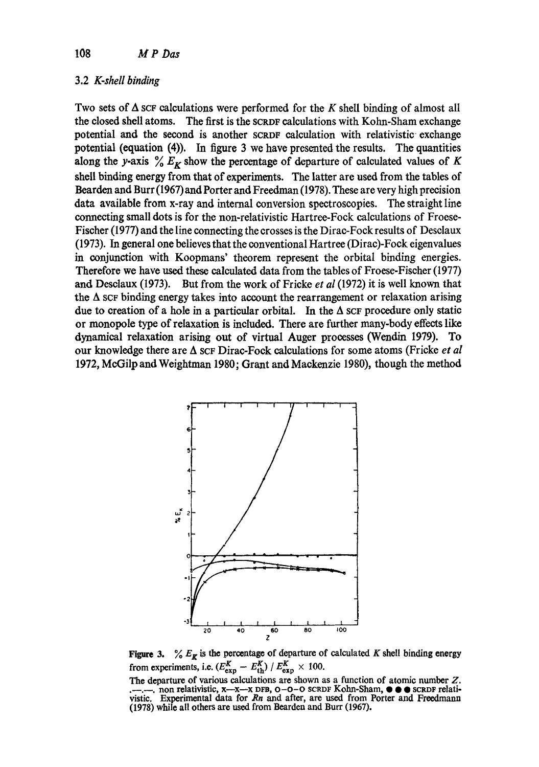## 3.2 *K-shell binding*

Two sets of  $\Delta$  SCF calculations were performed for the K shell binding of almost all the closed shell atoms. The first is the SCRDF calculations with Kohn-Sham exchange potential and the second is another SCROF calculation with relativistic exchange potential (equation (4)). In figure 3 we have presented the results. The quantities along the y-axis  $\frac{6}{6} E_K$  show the percentage of departure of calculated values of K shell binding energy from that of experiments. The latter are used from the tables of Bearden and Burr (1967) and Porter and Freedman (1978). These are very high precision data available from x-ray and internal conversion spectroscopies. The straight line connecting small dots is for the non-relativistic Hartree-Fock calculations of Froese-Fischer (1977) and the line connecting the crosses is the Dirac-Fock results of Deselaux (1973). In general one believes that the conventional Hartree (Dirae)-Fock eigenvalues in conjunction with Koopmans' theorem represent the orbital binding energies. Therefore we have used these calculated data from the tables of Froese-Fischer (1977) and Deselaux (1973). But from the work of Fricke *et al* (1972) it is well known that the  $\Delta$  scr binding energy takes into account the rearrangement or relaxation arising due to creation of a hole in a particular orbital. In the  $\Delta$  scr procedure only static or monopole type of relaxation is included. There are further many-body effects like dynamical relaxation arising out of virtual Auger processes (Wendin 1979). To our knowledge there are A SCF Dirac-Foek calculations for some atoms (Fricke *et al*  1972, McGilp and Weightman 1980; Grant and Mackenzie 1980), though the method



**Figure 3.** %  $E_{\mathbf{z}}$  is the percentage of departure of calculated K shell binding energy from experiments, i.e.  $(E_{\text{exn}}^K - E_{\text{th}}^K) / E_{\text{exn}}^K \times 100$ .

**The** departure of various calculations are shown as a function of atomic number Z. .--.--. non **relativistic, x--x--x DrB, O-O-O SCRDF Kohn-Sham, • • • scr.vF relati** $v$ istic. Experimental data for  $Rn$  and after, are used from Porter and Freedmann (1978) while all others are used from Bearden and Burr (1967).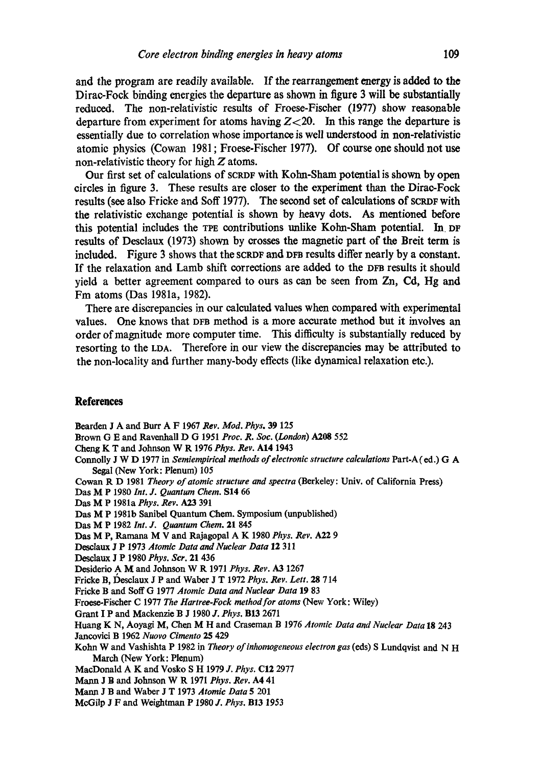**and the program are readily available. If the rearrangement energy is added to the Dirac-Fock binding energies the departure as shown in figure 3 will be substantially reduced. The non-relativistic results of Froese-Fischer (1977) show reasonable**  departure from experiment for atoms having  $Z < 20$ . In this range the departure is **essentially due to correlation whose importance is well understood in non-relativistic atomic physics (Cowan 1981 ; Froese-Fischer 1977). Of course one should not use non-relativistic theory for high Z atoms.** 

**Our first set of calculations of SCRDF with Kolm-Sham potential is shown by open circles in figure 3. These results are closer to the experiment than the Dirac-Fock**  results (see also Fricke and Soff 1977). The second set of calculations of SCRDF with **the relativistic exchange potential is shown by heavy dots. As mentioned before**  this potential includes the TPE contributions unlike Kohn-Sham potential. In DF **results of Desclaux (1973) shown by crosses the magnetic part of the Breit term is**  included. Figure 3 shows that the SCRDF and DFB results differ nearly by a constant. If the relaxation and Lamb shift corrections are added to the DFB results it should **yield a better agreement compared to ours as can be seen from Zn, Cd, Hg and Fm atoms (Das 1981a, 1982).** 

**There are discrepancies in our calculated values when compared with experimental**  values. One knows that DFB method is a more accurate method but it involves an **order of magnitude more computer time. This difficulty is substantially reduced by resorting to the LDA. Therefore in our view the discrepancies may be attributed to the non-locality and further many-body effects (like dynamical relaxation etc.).** 

## **References**

**Bearden** J A **and Burr** A F 1967 *Rev. Mod. Phys.* 39 125 Brown G E and Ravenhall D G 1951 *Proc. R. Soc. (London)* A208 552 **Cheng** K T **and Johnson** W R 1976 *Phys. Rev.* A14 1943 Connolly J W D 1977 **in** *Semiempirical methods of electronic structure calculations* Part-A (ed.) G A **Segal (New York: Plenum)** 105

**Cowan** R D 1981 *Theory of atomic structure and spectra* **(Berkeley: Univ. of California Press)** 

- **])as** M P 1980 *Int. J. Quantum Chem.* S14 66
- **Das** M P 1981a *Phys. Rev.* A23 391
- **Das** M P 1981b **Sanibel Quantum Chem. Symposium (unpublished)**
- **Das** M P 1982 *Int. J. Quantum Chem.* 21 845
- **Das** M P, Ramana M V **and Rajagopal** A K 1980 *Phys. Rev. A22 9*

**Deselaux** J P 1973 *Atomic Data and Nuclear Data* 12 311

Desclaux J P 1980 *Phys. Scr.* 21 436

**Dcsiderio** A M **and Johnson** W R 1971 *Phys. agev. A3* 1267

Fricke B, Desclaux J P and Waber J T 1972 Phys. Rev. Lett. 28 714

**Fricke B and Soft** G 1977 *Atomic Data and Nuclear Data* 19 83

**Froos¢-Fischer** C 1977 *The ltartree-Fock method for atoms* **(New York: Wiley)** 

**Grant** I P **and Mackenzie** B J 1980 *J. Phys.* B13 2671

**Huang** K N, Aoyagi M, Chen M H **and Craseman** B 1976 *Atomic Data and Nuclear Data* 18 243

**Jancovici** B 1962 *Nuovo Cimento 25* 429

Kohn W **and Vashishta** P 1982 **in** *Theory ofinhomogeneous electron gas* (eds) S **Lundqvist and** N H **March (New York: Plenum)** 

**MacDonald** A K **and Vosko** S H 1979 *J. Phys.* C12 2977

Mann J B **and Johnson** W R 1971 *Phys. Rev.* A4 41

**Mann** J B **and Waber** J T 1973 *Atomic Data* 5 201

**McGilp** J F **and Weightman** P 1980 *J. Phys.* B13 *1953*